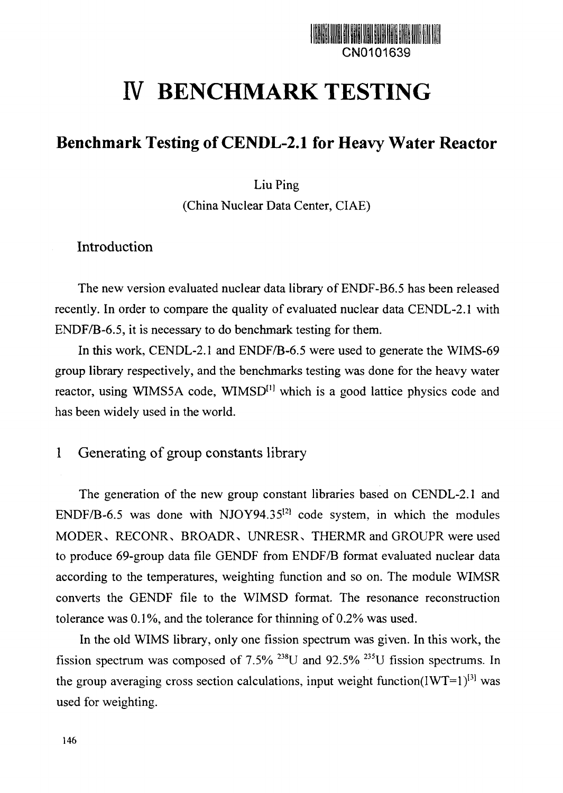

# **IV BENCHMARK TESTING**

## **Benchmark Testing of CENDL-2.1 for Heavy Water Reactor**

Liu Ping

(China Nuclear Data Center, CIAE)

## Introduction

The new version evaluated nuclear data library of ENDF-B6.5 has been released recently. In order to compare the quality of evaluated nuclear data CENDL-2.1 with ENDF/B-6.5, it is necessary to do benchmark testing for them.

In this work, CENDL-2.1 and ENDF/B-6.5 were used to generate the WIMS-69 group library respectively, and the benchmarks testing was done for the heavy water reactor, using WIMS5A code, WIMSD<sup>[1]</sup> which is a good lattice physics code and has been widely used in the world.

## 1 Generating of group constants library

The generation of the new group constant libraries based on CENDL-2.1 and ENDF/B-6.5 was done with NJOY94.35 $^{12}$  code system, in which the modules MODER, RECONR, BROADR, UNRESR, THERMR and GROUPR were used to produce 69-group data file GENDF from ENDF/B format evaluated nuclear data according to the temperatures, weighting function and so on. The module WIMSR converts the GENDF file to the WIMSD format. The resonance reconstruction tolerance was 0.1%, and the tolerance for thinning of 0.2% was used.

In the old WIMS library, only one fission spectrum was given. In this work, the fission spectrum was composed of 7.5% <sup>238</sup>U and 92.5% <sup>235</sup>U fission spectrums. In the group averaging cross section calculations, input weight function(IWT=1) $^{[3]}$  was used for weighting.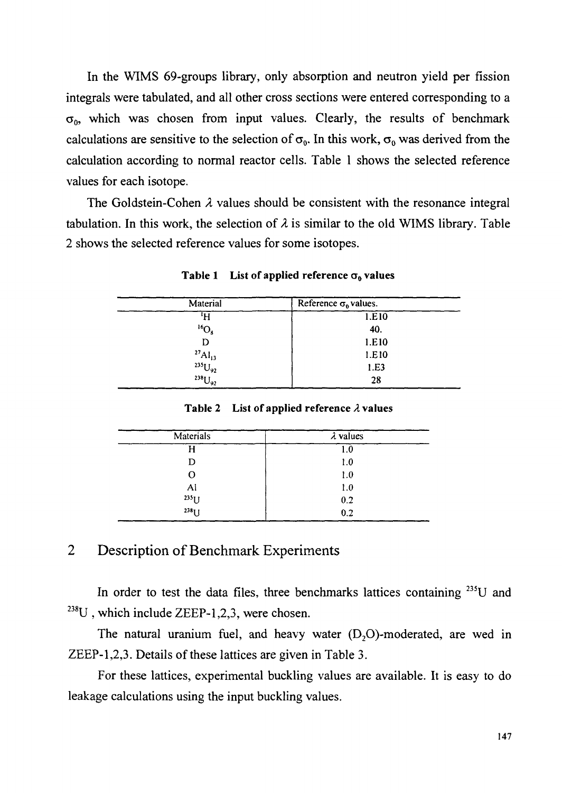In the WIMS 69-groups library, only absorption and neutron yield per fission integrals were tabulated, and all other cross sections were entered corresponding to a  $\sigma_0$ , which was chosen from input values. Clearly, the results of benchmark calculations are sensitive to the selection of  $\sigma_0$ . In this work,  $\sigma_0$  was derived from the calculation according to normal reactor cells. Table 1 shows the selected reference values for each isotope.

The Goldstein-Cohen  $\lambda$  values should be consistent with the resonance integral tabulation. In this work, the selection of  $\lambda$  is similar to the old WIMS library. Table 2 shows the selected reference values for some isotopes.

| Material                                                                    | Reference $\sigma_0$ values. |  |  |
|-----------------------------------------------------------------------------|------------------------------|--|--|
| 'H                                                                          | 1.E10                        |  |  |
| ${}^{16}O_8$                                                                | 40.                          |  |  |
| D                                                                           | 1.E10                        |  |  |
|                                                                             | 1.E10                        |  |  |
|                                                                             | 1.E3                         |  |  |
| ${^{27}\text{Al}_{13}} \atop {^{235}\text{U}_{92}}$ ${^{238}\text{U}_{92}}$ | 28                           |  |  |

Table 1 List of applied reference  $\sigma_0$  values

Table 2 List of applied reference *A* values

| Materials | $\lambda$ values<br>1.0 |  |  |
|-----------|-------------------------|--|--|
|           |                         |  |  |
| D         | 1.0                     |  |  |
| О         | 1.0                     |  |  |
| Al        | 1.0                     |  |  |
| $235$ U   | 0.2                     |  |  |
| $238$ U   | 0.2                     |  |  |

## 2 Description of Benchmark Experiments

In order to test the data files, three benchmarks lattices containing <sup>235</sup>U and  $^{238}$ U, which include ZEEP-1,2,3, were chosen.

The natural uranium fuel, and heavy water  $(D<sub>2</sub>O)$ -moderated, are wed in ZEEP-1,2,3. Details of these lattices are given in Table 3.

For these lattices, experimental buckling values are available. It is easy to do leakage calculations using the input buckling values.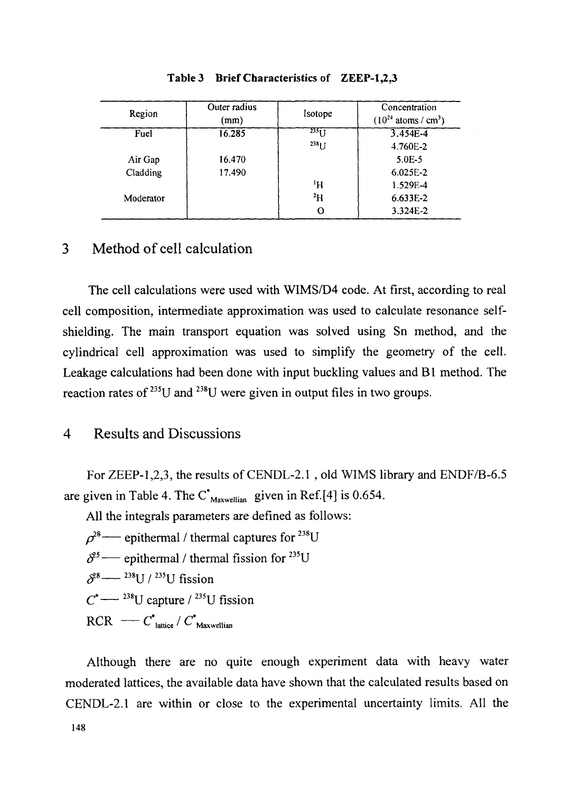| Region    | Outer radius<br>(mm) | Isotope          | Concentration<br>$(10^{24} \text{ atoms} / \text{cm}^3)$ |
|-----------|----------------------|------------------|----------------------------------------------------------|
| Fuel      | 16.285               | 235 <sub>T</sub> | $3.454E - 4$                                             |
|           |                      | $238$ J J        | 4.760E-2                                                 |
| Air Gap   | 16.470               |                  | $5.0E - 5$                                               |
| Cladding  | 17.490               |                  | $6.025E - 2$                                             |
|           |                      | ŀΗ               | 1.529E-4                                                 |
| Moderator |                      | <sup>2</sup> H   | 6.633E-2                                                 |
|           |                      |                  | 3.324E-2                                                 |

#### Table 3 Brief Characteristics of ZEEP-1,2,3

## 3 Method of cell calculation

The cell calculations were used with WIMS/D4 code. At first, according to real cell composition, intermediate approximation was used to calculate resonance selfshielding. The main transport equation was solved using Sn method, and the cylindrical cell approximation was used to simplify the geometry of the cell. Leakage calculations had been done with input buckling values and Bl method. The reaction rates of  $^{235}U$  and  $^{238}U$  were given in output files in two groups

## 4 Results and Discussions

For ZEEP-1,2,3, the results of CENDL-2.1 , old WIMS library and ENDF/B-6.5 are given in Table 4. The  $C^*_{\text{Maxwellian}}$  given in Ref.[4] is 0.654.

All the integrals parameters are defined as follows:

 $\rho^{28}$  — epithermal / thermal captures for  $^{238}$ U  $\delta^{3}$  — epithermal / thermal fission for  $^{235}$ U  $\delta^{28}$  —  $^{238}$ U /  $^{235}$ U fission  $C^*$  — <sup>238</sup>U capture / <sup>235</sup>U fission  $\text{RCR}$   $\longrightarrow$   $\text{C}^*$  lattice /  $\text{C}^*$  Maxwellian

Although there are no quite enough experiment data with heavy water moderated lattices, the available data have shown that the calculated results based on CENDL-2.1 are within or close to the experimental uncertainty limits. All the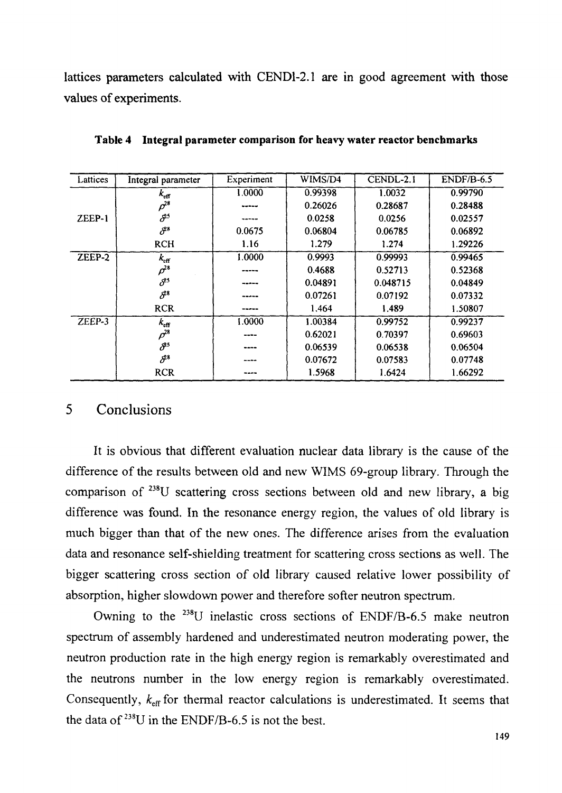**lattices parameters calculated with CEND1-2.1 are in good agreement with those values of experiments.**

| Lattices | Integral parameter               | Experiment | WIMS/D4 | CENDL-2.1 | $ENDF/B-6.5$ |
|----------|----------------------------------|------------|---------|-----------|--------------|
|          | $k_{\rm eff}$                    | 1.0000     | 0.99398 | 1.0032    | 0.99790      |
|          | $\rho^{28}$                      |            | 0.26026 | 0.28687   | 0.28488      |
| ZEEP-1   | $\delta^3$                       |            | 0.0258  | 0.0256    | 0.02557      |
|          | $\mathcal{S}^8$                  | 0.0675     | 0.06804 | 0.06785   | 0.06892      |
|          | <b>RCH</b>                       | 1.16       | 1.279   | 1.274     | 1.29226      |
| $ZEEP-2$ | $k_{\rm eff}$                    | 1.0000     | 0.9993  | 0.99993   | 0.99465      |
|          | $\rho^{28}$                      |            | 0.4688  | 0.52713   | 0.52368      |
|          | $\delta^{\scriptscriptstyle 25}$ | -----      | 0.04891 | 0.048715  | 0.04849      |
|          | $\delta^3$                       |            | 0.07261 | 0.07192   | 0.07332      |
|          | <b>RCR</b>                       |            | 1.464   | 1.489     | 1.50807      |
| ZEEP-3   | $k_{\rm eff}$                    | 1.0000     | 1.00384 | 0.99752   | 0.99237      |
|          | $\rho^{28}$                      |            | 0.62021 | 0.70397   | 0.69603      |
|          | $\delta^3$                       |            | 0.06539 | 0.06538   | 0.06504      |
|          | S <sup>28</sup>                  |            | 0.07672 | 0.07583   | 0.07748      |
|          | <b>RCR</b>                       |            | 1.5968  | 1.6424    | 1.66292      |

**Table 4 Integral parameter comparison for heavy water reactor benchmarks**

#### 5 Conclusions

It is obvious that different evaluation nuclear data library is the cause of the difference of the results between old and new WIMS 69-group library. Through the comparison of <sup>238</sup>U scattering cross sections between old and new library, a big difference was found. In the resonance energy region, the values of old library is much bigger than that of the new ones. The difference arises from the evaluation data and resonance self-shielding treatment for scattering cross sections as well. The bigger scattering cross section of old library caused relative lower possibility of absorption, higher slowdown power and therefore softer neutron spectrum.

Owning to the <sup>238</sup>U inelastic cross sections of ENDF/B-6.5 make neutron spectrum of assembly hardened and underestimated neutron moderating power, the neutron production rate in the high energy region is remarkably overestimated and the neutrons number in the low energy region is remarkably overestimated. Consequently,  $k<sub>eff</sub>$  for thermal reactor calculations is underestimated. It seems that the data of  $^{238}U$  in the ENDF/B-6.5 is not the best.